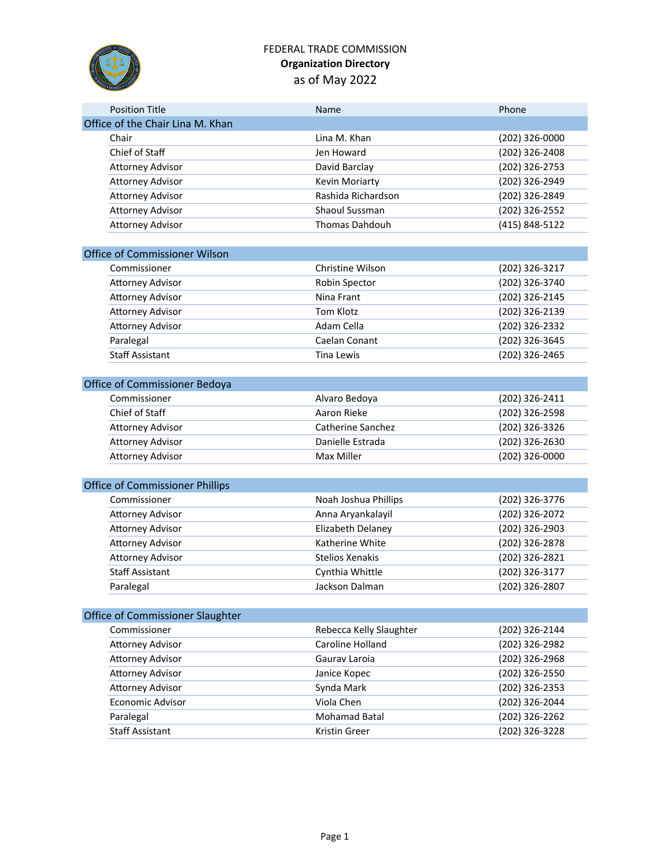

### FEDERAL TRADE COMMISSION **Organization Directory** as of May 2022

| <b>Position Title</b>                  | Name                    | Phone          |
|----------------------------------------|-------------------------|----------------|
| Office of the Chair Lina M. Khan       |                         |                |
| Chair                                  | Lina M. Khan            | (202) 326-0000 |
| Chief of Staff                         | Jen Howard              | (202) 326-2408 |
| <b>Attorney Advisor</b>                | David Barclay           | (202) 326-2753 |
| <b>Attorney Advisor</b>                | Kevin Moriarty          | (202) 326-2949 |
| <b>Attorney Advisor</b>                | Rashida Richardson      | (202) 326-2849 |
| <b>Attorney Advisor</b>                | Shaoul Sussman          | (202) 326-2552 |
| <b>Attorney Advisor</b>                | <b>Thomas Dahdouh</b>   | (415) 848-5122 |
|                                        |                         |                |
| Office of Commissioner Wilson          |                         |                |
| Commissioner                           | Christine Wilson        | (202) 326-3217 |
| <b>Attorney Advisor</b>                | Robin Spector           | (202) 326-3740 |
| <b>Attorney Advisor</b>                | Nina Frant              | (202) 326-2145 |
| <b>Attorney Advisor</b>                | Tom Klotz               | (202) 326-2139 |
| <b>Attorney Advisor</b>                | Adam Cella              | (202) 326-2332 |
| Paralegal                              | Caelan Conant           | (202) 326-3645 |
| <b>Staff Assistant</b>                 | <b>Tina Lewis</b>       | (202) 326-2465 |
|                                        |                         |                |
| Office of Commissioner Bedoya          |                         |                |
| Commissioner                           | Alvaro Bedoya           | (202) 326-2411 |
| Chief of Staff                         | Aaron Rieke             | (202) 326-2598 |
| <b>Attorney Advisor</b>                | Catherine Sanchez       | (202) 326-3326 |
| <b>Attorney Advisor</b>                | Danielle Estrada        | (202) 326-2630 |
| <b>Attorney Advisor</b>                | <b>Max Miller</b>       | (202) 326-0000 |
|                                        |                         |                |
| <b>Office of Commissioner Phillips</b> |                         |                |
| Commissioner                           | Noah Joshua Phillips    | (202) 326-3776 |
| <b>Attorney Advisor</b>                | Anna Aryankalayil       | (202) 326-2072 |
| <b>Attorney Advisor</b>                | Elizabeth Delaney       | (202) 326-2903 |
| <b>Attorney Advisor</b>                | Katherine White         | (202) 326-2878 |
| <b>Attorney Advisor</b>                | <b>Stelios Xenakis</b>  | (202) 326-2821 |
| <b>Staff Assistant</b>                 | Cynthia Whittle         | (202) 326-3177 |
| Paralegal                              | Jackson Dalman          | (202) 326-2807 |
|                                        |                         |                |
| Office of Commissioner Slaughter       |                         |                |
| Commissioner                           | Rebecca Kelly Slaughter | (202) 326-2144 |
| <b>Attorney Advisor</b>                | Caroline Holland        | (202) 326-2982 |
| <b>Attorney Advisor</b>                | Gauray Laroia           | (202) 326-2968 |
| <b>Attorney Advisor</b>                | Janice Kopec            | (202) 326-2550 |
| <b>Attorney Advisor</b>                | Synda Mark              | (202) 326-2353 |
| Economic Advisor                       | Viola Chen              | (202) 326-2044 |
| Paralegal                              | Mohamad Batal           | (202) 326-2262 |
| <b>Staff Assistant</b>                 | Kristin Greer           | (202) 326-3228 |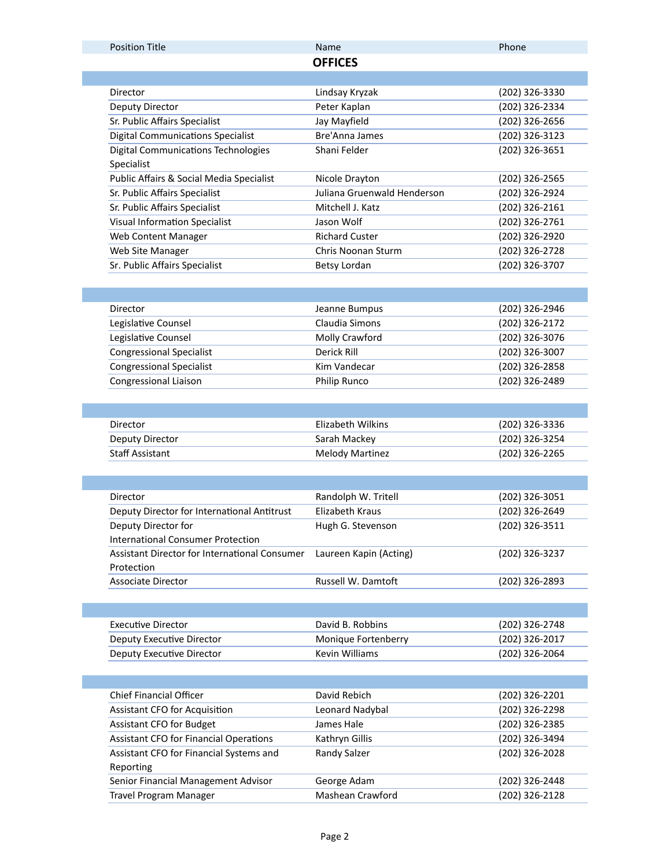| <b>Position Title</b>                         | Name                        | Phone          |
|-----------------------------------------------|-----------------------------|----------------|
|                                               | <b>OFFICES</b>              |                |
|                                               |                             |                |
| Director                                      | Lindsay Kryzak              | (202) 326-3330 |
| Deputy Director                               | Peter Kaplan                | (202) 326-2334 |
| Sr. Public Affairs Specialist                 | Jay Mayfield                | (202) 326-2656 |
| <b>Digital Communications Specialist</b>      | <b>Bre'Anna James</b>       | (202) 326-3123 |
| <b>Digital Communications Technologies</b>    | Shani Felder                | (202) 326-3651 |
| Specialist                                    |                             |                |
| Public Affairs & Social Media Specialist      | Nicole Drayton              | (202) 326-2565 |
| Sr. Public Affairs Specialist                 | Juliana Gruenwald Henderson | (202) 326-2924 |
| Sr. Public Affairs Specialist                 | Mitchell J. Katz            | (202) 326-2161 |
| <b>Visual Information Specialist</b>          | Jason Wolf                  | (202) 326-2761 |
| Web Content Manager                           | <b>Richard Custer</b>       | (202) 326-2920 |
| Web Site Manager                              | Chris Noonan Sturm          | (202) 326-2728 |
| Sr. Public Affairs Specialist                 | Betsy Lordan                | (202) 326-3707 |
|                                               |                             |                |
|                                               |                             |                |
| Director                                      | Jeanne Bumpus               | (202) 326-2946 |
| Legislative Counsel                           | Claudia Simons              | (202) 326-2172 |
| Legislative Counsel                           | Molly Crawford              | (202) 326-3076 |
| <b>Congressional Specialist</b>               | Derick Rill                 | (202) 326-3007 |
| <b>Congressional Specialist</b>               | Kim Vandecar                | (202) 326-2858 |
| Congressional Liaison                         | Philip Runco                | (202) 326-2489 |
|                                               |                             |                |
|                                               |                             |                |
| Director                                      | <b>Elizabeth Wilkins</b>    | (202) 326-3336 |
| Deputy Director                               | Sarah Mackey                | (202) 326-3254 |
| <b>Staff Assistant</b>                        | <b>Melody Martinez</b>      | (202) 326-2265 |
|                                               |                             |                |
|                                               |                             |                |
| Director                                      | Randolph W. Tritell         | (202) 326-3051 |
| Deputy Director for International Antitrust   | Elizabeth Kraus             | (202) 326-2649 |
| Deputy Director for                           | Hugh G. Stevenson           | (202) 326-3511 |
| <b>International Consumer Protection</b>      |                             |                |
| Assistant Director for International Consumer | Laureen Kapin (Acting)      | (202) 326-3237 |
| Protection                                    |                             |                |
| <b>Associate Director</b>                     | Russell W. Damtoft          | (202) 326-2893 |
|                                               |                             |                |
|                                               |                             |                |
| <b>Executive Director</b>                     | David B. Robbins            | (202) 326-2748 |
| Deputy Executive Director                     | Monique Fortenberry         | (202) 326-2017 |
| Deputy Executive Director                     | <b>Kevin Williams</b>       | (202) 326-2064 |
|                                               |                             |                |
|                                               |                             |                |
| <b>Chief Financial Officer</b>                | David Rebich                | (202) 326-2201 |
| Assistant CFO for Acquisition                 | Leonard Nadybal             | (202) 326-2298 |
| <b>Assistant CFO for Budget</b>               | James Hale                  | (202) 326-2385 |
| <b>Assistant CFO for Financial Operations</b> | Kathryn Gillis              | (202) 326-3494 |
| Assistant CFO for Financial Systems and       | Randy Salzer                | (202) 326-2028 |
| Reporting                                     |                             |                |
| Senior Financial Management Advisor           | George Adam                 | (202) 326-2448 |
| Travel Program Manager                        | Mashean Crawford            | (202) 326-2128 |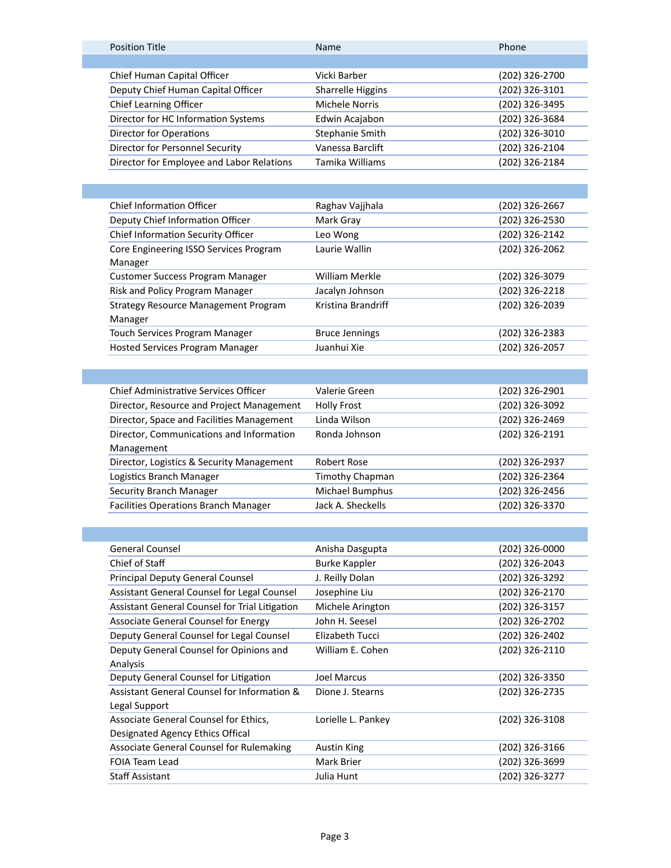|  | <b>Position Title</b>                     | <b>Name</b>       | Phone          |
|--|-------------------------------------------|-------------------|----------------|
|  |                                           |                   |                |
|  | Chief Human Capital Officer               | Vicki Barber      | (202) 326-2700 |
|  | Deputy Chief Human Capital Officer        | Sharrelle Higgins | (202) 326-3101 |
|  | <b>Chief Learning Officer</b>             | Michele Norris    | (202) 326-3495 |
|  | Director for HC Information Systems       | Edwin Acajabon    | (202) 326-3684 |
|  | <b>Director for Operations</b>            | Stephanie Smith   | (202) 326-3010 |
|  | Director for Personnel Security           | Vanessa Barclift  | (202) 326-2104 |
|  | Director for Employee and Labor Relations | Tamika Williams   | (202) 326-2184 |
|  |                                           |                   |                |

| <b>Chief Information Officer</b>            | Raghav Vajjhala       | (202) 326-2667 |
|---------------------------------------------|-----------------------|----------------|
| Deputy Chief Information Officer            | Mark Gray             | (202) 326-2530 |
| Chief Information Security Officer          | Leo Wong              | (202) 326-2142 |
| Core Engineering ISSO Services Program      | Laurie Wallin         | (202) 326-2062 |
| Manager                                     |                       |                |
| <b>Customer Success Program Manager</b>     | <b>William Merkle</b> | (202) 326-3079 |
| Risk and Policy Program Manager             | Jacalyn Johnson       | (202) 326-2218 |
| <b>Strategy Resource Management Program</b> | Kristina Brandriff    | (202) 326-2039 |
| Manager                                     |                       |                |
| Touch Services Program Manager              | <b>Bruce Jennings</b> | (202) 326-2383 |
| <b>Hosted Services Program Manager</b>      | Juanhui Xie           | (202) 326-2057 |

| Chief Administrative Services Officer       | Valerie Green      | (202) 326-2901 |
|---------------------------------------------|--------------------|----------------|
| Director, Resource and Project Management   | <b>Holly Frost</b> | (202) 326-3092 |
| Director, Space and Facilities Management   | Linda Wilson       | (202) 326-2469 |
| Director, Communications and Information    | Ronda Johnson      | (202) 326-2191 |
| Management                                  |                    |                |
| Director, Logistics & Security Management   | Robert Rose        | (202) 326-2937 |
| Logistics Branch Manager                    | Timothy Chapman    | (202) 326-2364 |
| <b>Security Branch Manager</b>              | Michael Bumphus    | (202) 326-2456 |
| <b>Facilities Operations Branch Manager</b> | Jack A. Sheckells  | (202) 326-3370 |
|                                             |                    |                |

| <b>General Counsel</b>                         | Anisha Dasgupta      | (202) 326-0000 |
|------------------------------------------------|----------------------|----------------|
| Chief of Staff                                 | <b>Burke Kappler</b> | (202) 326-2043 |
| <b>Principal Deputy General Counsel</b>        | J. Reilly Dolan      | (202) 326-3292 |
| Assistant General Counsel for Legal Counsel    | Josephine Liu        | (202) 326-2170 |
| Assistant General Counsel for Trial Litigation | Michele Arington     | (202) 326-3157 |
| Associate General Counsel for Energy           | John H. Seesel       | (202) 326-2702 |
| Deputy General Counsel for Legal Counsel       | Elizabeth Tucci      | (202) 326-2402 |
| Deputy General Counsel for Opinions and        | William E. Cohen     | (202) 326-2110 |
| Analysis                                       |                      |                |
| Deputy General Counsel for Litigation          | Joel Marcus          | (202) 326-3350 |
| Assistant General Counsel for Information &    | Dione J. Stearns     | (202) 326-2735 |
| Legal Support                                  |                      |                |
| Associate General Counsel for Ethics,          | Lorielle L. Pankey   | (202) 326-3108 |
| Designated Agency Ethics Offical               |                      |                |
| Associate General Counsel for Rulemaking       | Austin King          | (202) 326-3166 |
| FOIA Team Lead                                 | Mark Brier           | (202) 326-3699 |
| <b>Staff Assistant</b>                         | Julia Hunt           | (202) 326-3277 |
|                                                |                      |                |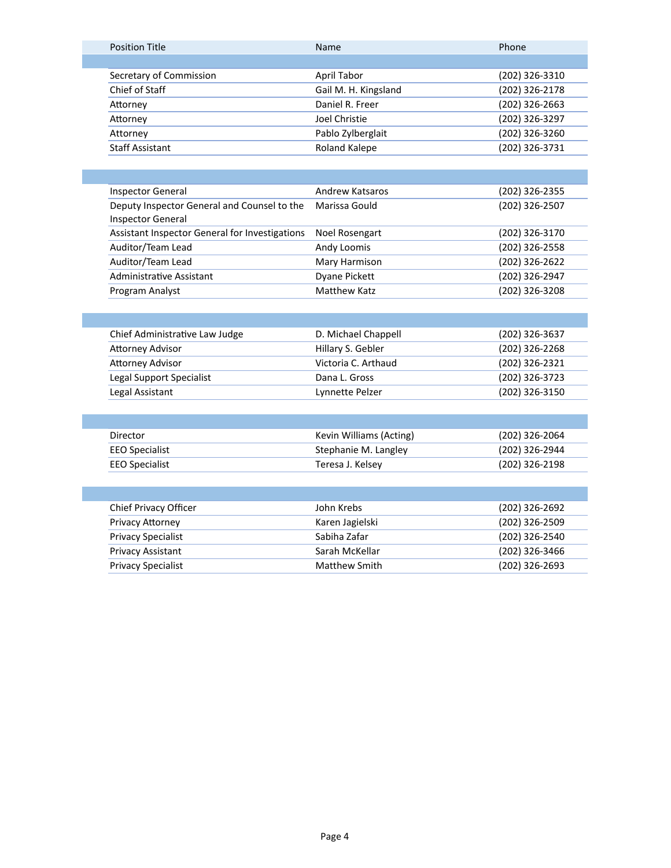| <b>Position Title</b>   | <b>Name</b>          | Phone          |
|-------------------------|----------------------|----------------|
|                         |                      |                |
| Secretary of Commission | April Tabor          | (202) 326-3310 |
| Chief of Staff          | Gail M. H. Kingsland | (202) 326-2178 |
| Attorney                | Daniel R. Freer      | (202) 326-2663 |
| Attorney                | Joel Christie        | (202) 326-3297 |
| Attorney                | Pablo Zylberglait    | (202) 326-3260 |
| <b>Staff Assistant</b>  | Roland Kalepe        | (202) 326-3731 |
|                         |                      |                |
|                         |                      |                |

| Inspector General                              | <b>Andrew Katsaros</b> | (202) 326-2355 |
|------------------------------------------------|------------------------|----------------|
| Deputy Inspector General and Counsel to the    | Marissa Gould          | (202) 326-2507 |
| <b>Inspector General</b>                       |                        |                |
| Assistant Inspector General for Investigations | Noel Rosengart         | (202) 326-3170 |
| Auditor/Team Lead                              | Andy Loomis            | (202) 326-2558 |
| Auditor/Team Lead                              | Mary Harmison          | (202) 326-2622 |
| Administrative Assistant                       | Dyane Pickett          | (202) 326-2947 |
| Program Analyst                                | <b>Matthew Katz</b>    | (202) 326-3208 |

| D. Michael Chappell | (202) 326-3637 |
|---------------------|----------------|
| Hillary S. Gebler   | (202) 326-2268 |
| Victoria C. Arthaud | (202) 326-2321 |
| Dana L. Gross       | (202) 326-3723 |
| Lynnette Pelzer     | (202) 326-3150 |
|                     |                |

| Director       | Kevin Williams (Acting) | (202) 326-2064 |
|----------------|-------------------------|----------------|
| EEO Specialist | Stephanie M. Langley    | (202) 326-2944 |
| EEO Specialist | Teresa J. Kelsey        | (202) 326-2198 |

| Chief Privacy Officer     | John Krebs      | (202) 326-2692 |
|---------------------------|-----------------|----------------|
| <b>Privacy Attorney</b>   | Karen Jagielski | (202) 326-2509 |
| <b>Privacy Specialist</b> | Sabiha Zafar    | (202) 326-2540 |
| <b>Privacy Assistant</b>  | Sarah McKellar  | (202) 326-3466 |
| <b>Privacy Specialist</b> | Matthew Smith   | (202) 326-2693 |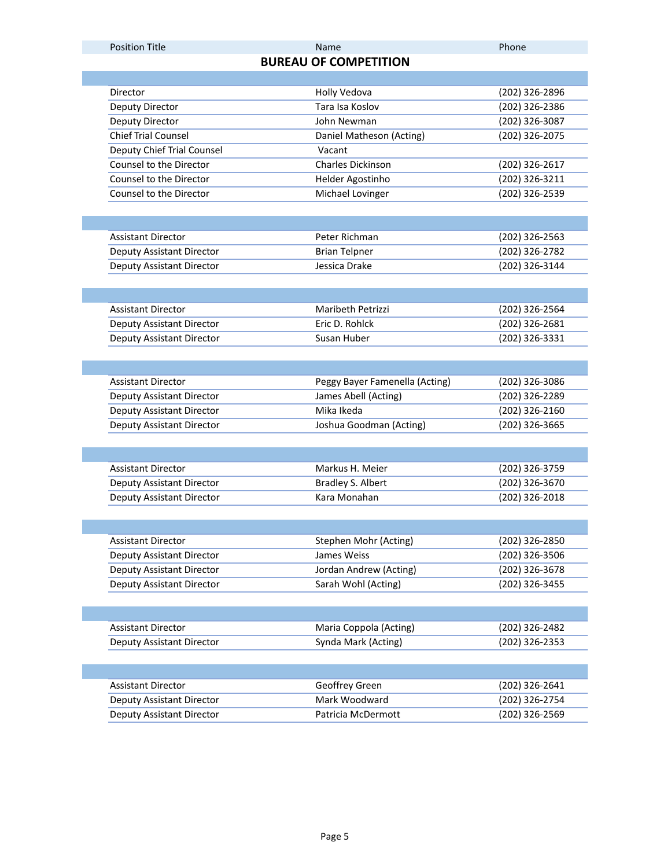### Position Title **Name Phone Phone Phone Phone Phone**

## **BUREAU OF COMPETITION**

|  | Director                         | Holly Vedova                   | (202) 326-2896                   |
|--|----------------------------------|--------------------------------|----------------------------------|
|  | Deputy Director                  | Tara Isa Koslov                | (202) 326-2386                   |
|  | Deputy Director                  | John Newman                    | (202) 326-3087                   |
|  | <b>Chief Trial Counsel</b>       | Daniel Matheson (Acting)       | (202) 326-2075                   |
|  | Deputy Chief Trial Counsel       | Vacant                         |                                  |
|  | Counsel to the Director          | Charles Dickinson              | (202) 326-2617                   |
|  | Counsel to the Director          | Helder Agostinho               | (202) 326-3211                   |
|  | Counsel to the Director          | Michael Lovinger               | (202) 326-2539                   |
|  |                                  |                                |                                  |
|  |                                  |                                |                                  |
|  | <b>Assistant Director</b>        | Peter Richman                  | (202) 326-2563                   |
|  | Deputy Assistant Director        | <b>Brian Telpner</b>           | (202) 326-2782                   |
|  | Deputy Assistant Director        | Jessica Drake                  | (202) 326-3144                   |
|  |                                  |                                |                                  |
|  |                                  |                                |                                  |
|  | <b>Assistant Director</b>        | Maribeth Petrizzi              | (202) 326-2564                   |
|  | Deputy Assistant Director        | Eric D. Rohlck                 | (202) 326-2681                   |
|  | Deputy Assistant Director        | Susan Huber                    | (202) 326-3331                   |
|  |                                  |                                |                                  |
|  |                                  |                                |                                  |
|  | <b>Assistant Director</b>        | Peggy Bayer Famenella (Acting) | (202) 326-3086                   |
|  | <b>Deputy Assistant Director</b> | James Abell (Acting)           | (202) 326-2289                   |
|  | Deputy Assistant Director        | Mika Ikeda                     | (202) 326-2160                   |
|  | Deputy Assistant Director        | Joshua Goodman (Acting)        | (202) 326-3665                   |
|  |                                  |                                |                                  |
|  |                                  |                                |                                  |
|  | <b>Assistant Director</b>        | Markus H. Meier                | (202) 326-3759                   |
|  | <b>Deputy Assistant Director</b> | Bradley S. Albert              | (202) 326-3670                   |
|  | Deputy Assistant Director        | Kara Monahan                   | (202) 326-2018                   |
|  |                                  |                                |                                  |
|  |                                  |                                |                                  |
|  | <b>Assistant Director</b>        | Stephen Mohr (Acting)          | (202) 326-2850                   |
|  | Deputy Assistant Director        | James Weiss                    | (202) 326-3506                   |
|  | Deputy Assistant Director        | Jordan Andrew (Acting)         | (202) 326-3678                   |
|  | Deputy Assistant Director        | Sarah Wohl (Acting)            | (202) 326-3455                   |
|  |                                  |                                |                                  |
|  |                                  |                                |                                  |
|  | <b>Assistant Director</b>        | Maria Coppola (Acting)         | (202) 326-2482<br>(202) 326-2353 |
|  | Deputy Assistant Director        | Synda Mark (Acting)            |                                  |
|  |                                  |                                |                                  |
|  |                                  |                                |                                  |
|  | <b>Assistant Director</b>        | Geoffrey Green                 | (202) 326-2641                   |
|  | <b>Deputy Assistant Director</b> | Mark Woodward                  | (202) 326-2754                   |
|  | Deputy Assistant Director        | Patricia McDermott             | (202) 326-2569                   |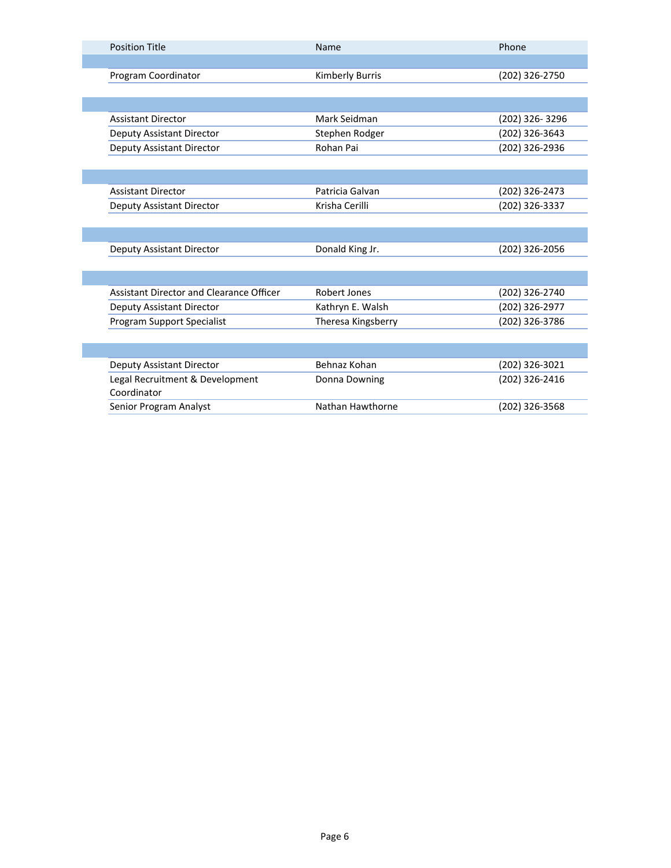| <b>Position Title</b>                    | Name                   | Phone          |
|------------------------------------------|------------------------|----------------|
|                                          |                        |                |
| Program Coordinator                      | <b>Kimberly Burris</b> | (202) 326-2750 |
|                                          |                        |                |
|                                          |                        |                |
| <b>Assistant Director</b>                | Mark Seidman           | (202) 326-3296 |
| <b>Deputy Assistant Director</b>         | Stephen Rodger         | (202) 326-3643 |
| Deputy Assistant Director                | Rohan Pai              | (202) 326-2936 |
|                                          |                        |                |
|                                          |                        |                |
| <b>Assistant Director</b>                | Patricia Galvan        | (202) 326-2473 |
| Deputy Assistant Director                | Krisha Cerilli         | (202) 326-3337 |
|                                          |                        |                |
|                                          |                        |                |
| <b>Deputy Assistant Director</b>         | Donald King Jr.        | (202) 326-2056 |
|                                          |                        |                |
|                                          |                        |                |
| Assistant Director and Clearance Officer | Robert Jones           | (202) 326-2740 |
| <b>Deputy Assistant Director</b>         | Kathryn E. Walsh       | (202) 326-2977 |
| <b>Program Support Specialist</b>        | Theresa Kingsberry     | (202) 326-3786 |
|                                          |                        |                |
|                                          |                        |                |
| <b>Deputy Assistant Director</b>         | Behnaz Kohan           | (202) 326-3021 |
| Legal Recruitment & Development          | Donna Downing          | (202) 326-2416 |
| Coordinator                              |                        |                |
| Senior Program Analyst                   | Nathan Hawthorne       | (202) 326-3568 |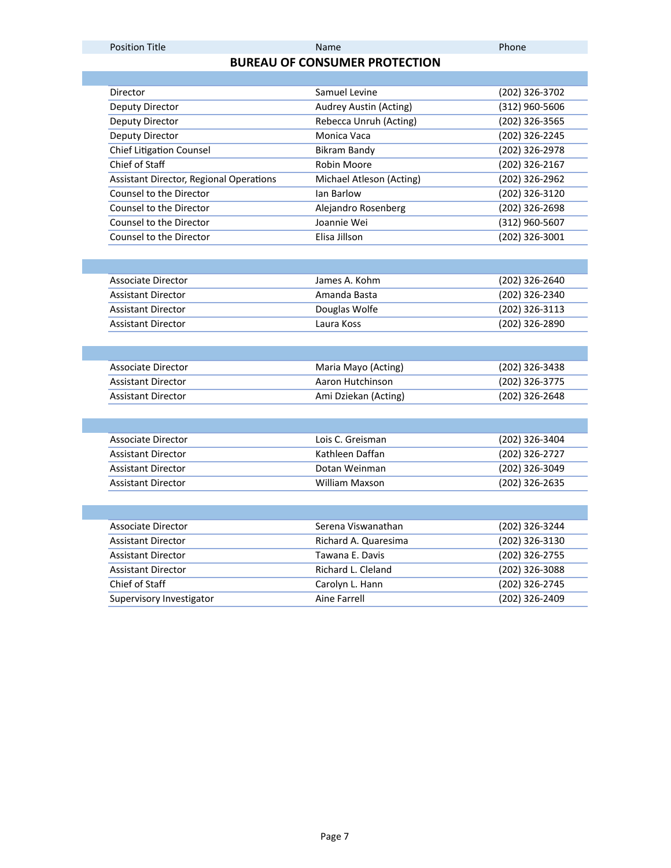## **BUREAU OF CONSUMER PROTECTION**

| Director                                       | Samuel Levine            | (202) 326-3702 |
|------------------------------------------------|--------------------------|----------------|
| Deputy Director                                | Audrey Austin (Acting)   | (312) 960-5606 |
| Deputy Director                                | Rebecca Unruh (Acting)   | (202) 326-3565 |
| Deputy Director                                | Monica Vaca              | (202) 326-2245 |
| <b>Chief Litigation Counsel</b>                | <b>Bikram Bandy</b>      | (202) 326-2978 |
| Chief of Staff                                 | Robin Moore              | (202) 326-2167 |
| <b>Assistant Director, Regional Operations</b> | Michael Atleson (Acting) | (202) 326-2962 |
| Counsel to the Director                        | <b>Jan Barlow</b>        | (202) 326-3120 |
| Counsel to the Director                        | Alejandro Rosenberg      | (202) 326-2698 |
| Counsel to the Director                        | Joannie Wei              | (312) 960-5607 |
| Counsel to the Director                        | Elisa Jillson            | (202) 326-3001 |
|                                                |                          |                |
|                                                |                          |                |
| <b>Associate Director</b>                      | James A. Kohm            | (202) 326-2640 |
| <b>Assistant Director</b>                      | Amanda Basta             | (202) 326-2340 |
| <b>Assistant Director</b>                      | Douglas Wolfe            | (202) 326-3113 |
| <b>Assistant Director</b>                      | Laura Koss               | (202) 326-2890 |
|                                                |                          |                |
|                                                |                          |                |
| Associate Director                             | Maria Mayo (Acting)      | (202) 326-3438 |
| <b>Assistant Director</b>                      | Aaron Hutchinson         | (202) 326-3775 |
| <b>Assistant Director</b>                      | Ami Dziekan (Acting)     | (202) 326-2648 |
|                                                |                          |                |
|                                                |                          |                |
| <b>Associate Director</b>                      | Lois C. Greisman         | (202) 326-3404 |
| <b>Assistant Director</b>                      | Kathleen Daffan          | (202) 326-2727 |
| <b>Assistant Director</b>                      | Dotan Weinman            | (202) 326-3049 |
| <b>Assistant Director</b>                      | <b>William Maxson</b>    | (202) 326-2635 |
|                                                |                          |                |
|                                                |                          |                |
| <b>Associate Director</b>                      | Serena Viswanathan       | (202) 326-3244 |
| <b>Assistant Director</b>                      | Richard A. Quaresima     | (202) 326-3130 |
| <b>Assistant Director</b>                      | Tawana E. Davis          | (202) 326-2755 |
| <b>Assistant Director</b>                      | Richard L. Cleland       | (202) 326-3088 |
| Chief of Staff                                 | Carolyn L. Hann          | (202) 326-2745 |
| Supervisory Investigator                       | Aine Farrell             | (202) 326-2409 |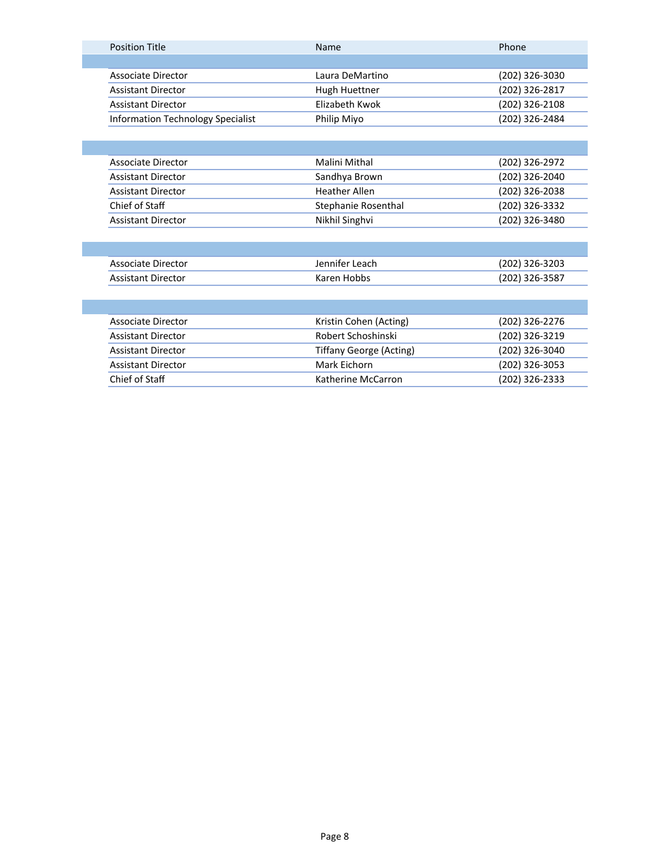|  | <b>Position Title</b>             | <b>Name</b>     | Phone          |
|--|-----------------------------------|-----------------|----------------|
|  |                                   |                 |                |
|  | Associate Director                | Laura DeMartino | (202) 326-3030 |
|  | <b>Assistant Director</b>         | Hugh Huettner   | (202) 326-2817 |
|  | <b>Assistant Director</b>         | Flizabeth Kwok  | (202) 326-2108 |
|  | Information Technology Specialist | Philip Miyo     | (202) 326-2484 |
|  |                                   |                 |                |

| Associate Director        | Malini Mithal        | (202) 326-2972 |
|---------------------------|----------------------|----------------|
| <b>Assistant Director</b> | Sandhya Brown        | (202) 326-2040 |
| <b>Assistant Director</b> | <b>Heather Allen</b> | (202) 326-2038 |
| Chief of Staff            | Stephanie Rosenthal  | (202) 326-3332 |
| <b>Assistant Director</b> | Nikhil Singhvi       | (202) 326-3480 |
|                           |                      |                |

| Associate Director | Jennifer Leach | (202) 326-3203 |
|--------------------|----------------|----------------|
| Assistant Director | Karen Hobbs    | (202) 326-3587 |

| Associate Director        | Kristin Cohen (Acting)  | (202) 326-2276 |
|---------------------------|-------------------------|----------------|
| <b>Assistant Director</b> | Robert Schoshinski      | (202) 326-3219 |
| <b>Assistant Director</b> | Tiffany George (Acting) | (202) 326-3040 |
| <b>Assistant Director</b> | Mark Eichorn            | (202) 326-3053 |
| Chief of Staff            | Katherine McCarron      | (202) 326-2333 |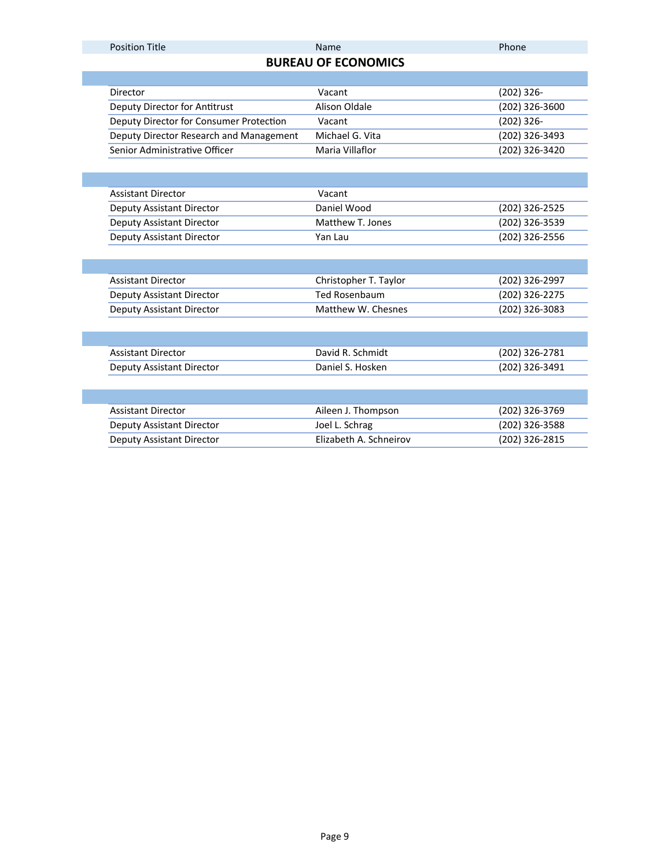### Position Title **Name Phone Phone Phone Phone Phone**

# **BUREAU OF ECONOMICS**

| Director                                | Vacant           | (202) 326-     |
|-----------------------------------------|------------------|----------------|
| Deputy Director for Antitrust           | Alison Oldale    | (202) 326-3600 |
| Deputy Director for Consumer Protection | Vacant           | $(202)$ 326-   |
| Deputy Director Research and Management | Michael G. Vita  | (202) 326-3493 |
| Senior Administrative Officer           | Maria Villaflor  | (202) 326-3420 |
|                                         |                  |                |
|                                         |                  |                |
| <b>Assistant Director</b>               | Vacant           |                |
| Deputy Assistant Director               | Daniel Wood      | (202) 326-2525 |
| <b>Deputy Assistant Director</b>        | Matthew T. Jones | (202) 326-3539 |
| Deputy Assistant Director               | Yan Lau          | (202) 326-2556 |

| Assistant Director        | Christopher T. Taylor | (202) 326-2997 |
|---------------------------|-----------------------|----------------|
| Deputy Assistant Director | Ted Rosenbaum         | (202) 326-2275 |
| Deputy Assistant Director | Matthew W. Chesnes    | (202) 326-3083 |

| Assistant Director        | David R. Schmidt | (202) 326-2781 |
|---------------------------|------------------|----------------|
| Deputy Assistant Director | Daniel S. Hosken | (202) 326-3491 |
|                           |                  |                |

| Assistant Director        | Aileen J. Thompson     | (202) 326-3769 |
|---------------------------|------------------------|----------------|
| Deputy Assistant Director | Joel L. Schrag         | (202) 326-3588 |
| Deputy Assistant Director | Elizabeth A. Schneirov | (202) 326-2815 |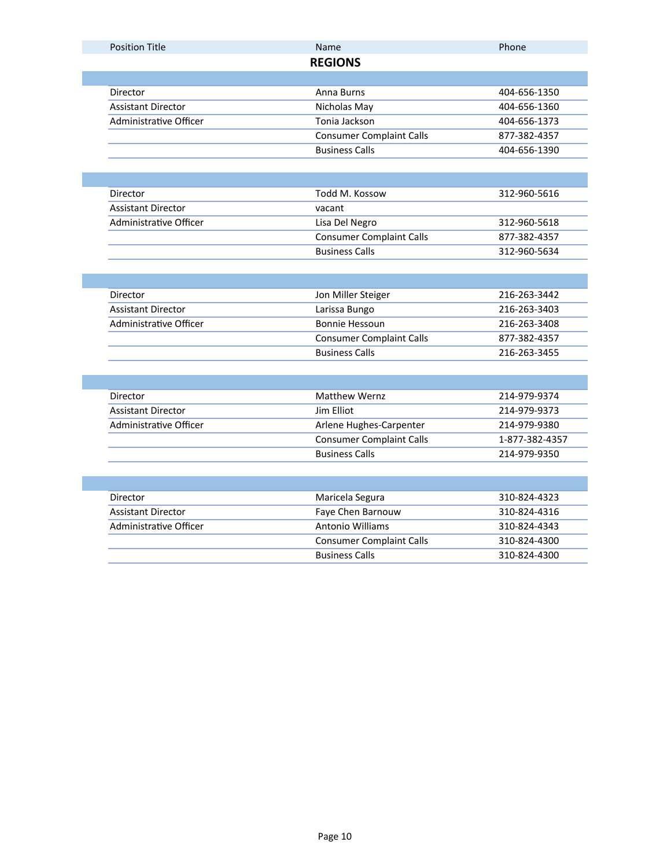| <b>Position Title</b>         | Name                            | Phone                          |
|-------------------------------|---------------------------------|--------------------------------|
|                               | <b>REGIONS</b>                  |                                |
|                               |                                 |                                |
| Director                      | Anna Burns                      | 404-656-1350                   |
| <b>Assistant Director</b>     | Nicholas May                    | 404-656-1360                   |
| <b>Administrative Officer</b> | Tonia Jackson                   | 404-656-1373                   |
|                               | <b>Consumer Complaint Calls</b> | 877-382-4357                   |
|                               | <b>Business Calls</b>           | 404-656-1390                   |
|                               |                                 |                                |
| Director                      | Todd M. Kossow                  | 312-960-5616                   |
| <b>Assistant Director</b>     | vacant                          |                                |
| Administrative Officer        | Lisa Del Negro                  | 312-960-5618                   |
|                               | <b>Consumer Complaint Calls</b> | 877-382-4357                   |
|                               | <b>Business Calls</b>           | 312-960-5634                   |
|                               |                                 |                                |
|                               |                                 |                                |
| Director                      | Jon Miller Steiger              | 216-263-3442                   |
| <b>Assistant Director</b>     | Larissa Bungo                   | 216-263-3403                   |
| <b>Administrative Officer</b> | <b>Bonnie Hessoun</b>           | 216-263-3408                   |
|                               | <b>Consumer Complaint Calls</b> | 877-382-4357                   |
|                               | <b>Business Calls</b>           | 216-263-3455                   |
|                               |                                 |                                |
|                               |                                 |                                |
| Director                      |                                 |                                |
|                               | <b>Matthew Wernz</b>            | 214-979-9374                   |
| <b>Assistant Director</b>     | Jim Elliot                      | 214-979-9373                   |
| <b>Administrative Officer</b> | Arlene Hughes-Carpenter         | 214-979-9380                   |
|                               | <b>Consumer Complaint Calls</b> |                                |
|                               | <b>Business Calls</b>           | 214-979-9350                   |
|                               |                                 |                                |
| Director                      | Maricela Segura                 | 310-824-4323                   |
| <b>Assistant Director</b>     | Faye Chen Barnouw               | 310-824-4316                   |
| <b>Administrative Officer</b> | <b>Antonio Williams</b>         | 310-824-4343                   |
|                               | <b>Consumer Complaint Calls</b> | 1-877-382-4357<br>310-824-4300 |